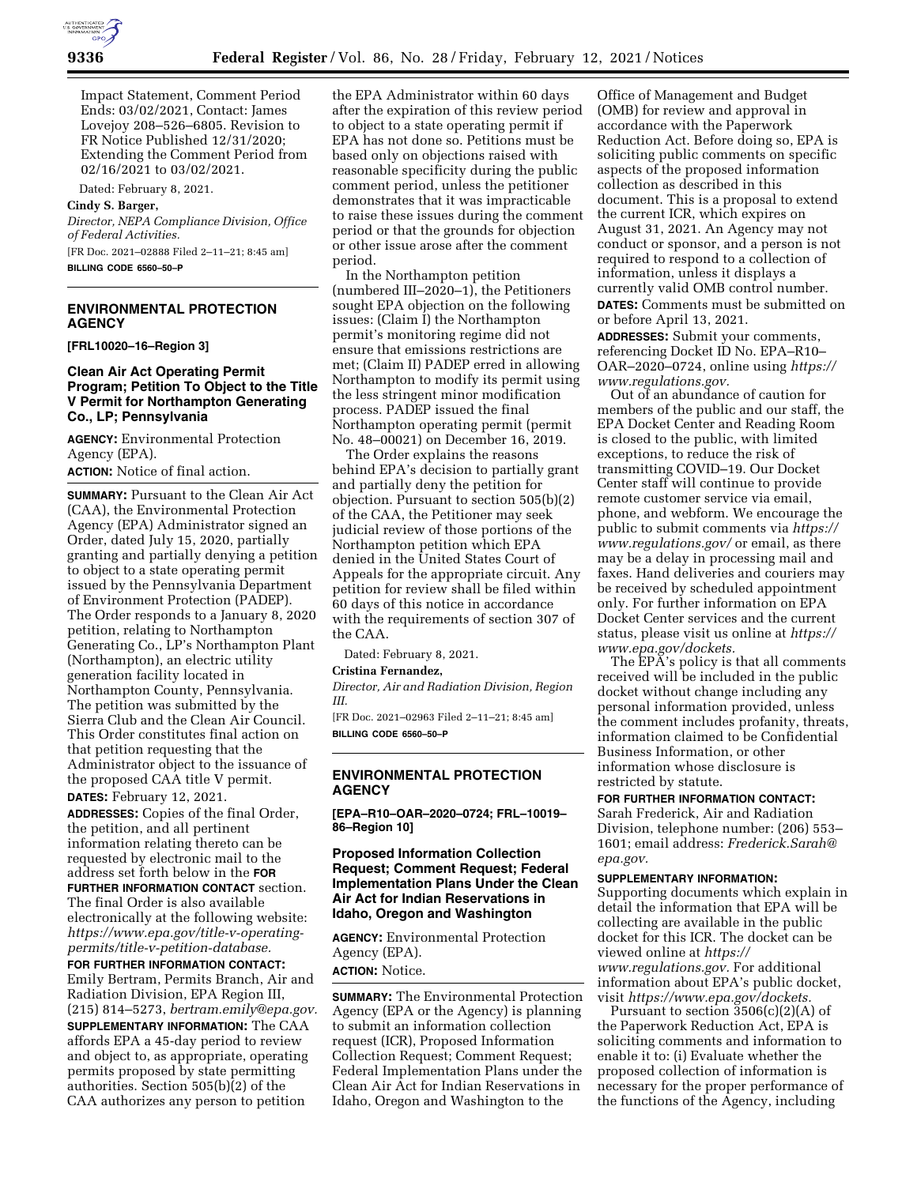

Impact Statement, Comment Period Ends: 03/02/2021, Contact: James Lovejoy 208–526–6805. Revision to FR Notice Published 12/31/2020; Extending the Comment Period from 02/16/2021 to 03/02/2021.

Dated: February 8, 2021.

#### **Cindy S. Barger,**

*Director, NEPA Compliance Division, Office of Federal Activities.* 

[FR Doc. 2021–02888 Filed 2–11–21; 8:45 am] **BILLING CODE 6560–50–P** 

## **ENVIRONMENTAL PROTECTION AGENCY**

**[FRL10020–16–Region 3]** 

#### **Clean Air Act Operating Permit Program; Petition To Object to the Title V Permit for Northampton Generating Co., LP; Pennsylvania**

**AGENCY:** Environmental Protection Agency (EPA).

**ACTION:** Notice of final action.

**SUMMARY:** Pursuant to the Clean Air Act (CAA), the Environmental Protection Agency (EPA) Administrator signed an Order, dated July 15, 2020, partially granting and partially denying a petition to object to a state operating permit issued by the Pennsylvania Department of Environment Protection (PADEP). The Order responds to a January 8, 2020 petition, relating to Northampton Generating Co., LP's Northampton Plant (Northampton), an electric utility generation facility located in Northampton County, Pennsylvania. The petition was submitted by the Sierra Club and the Clean Air Council. This Order constitutes final action on that petition requesting that the Administrator object to the issuance of the proposed CAA title V permit. **DATES:** February 12, 2021.

**ADDRESSES:** Copies of the final Order, the petition, and all pertinent information relating thereto can be requested by electronic mail to the address set forth below in the **FOR FURTHER INFORMATION CONTACT** section. The final Order is also available electronically at the following website: *[https://www.epa.gov/title-v-operating](https://www.epa.gov/title-v-operating-permits/title-v-petition-database)[permits/title-v-petition-database.](https://www.epa.gov/title-v-operating-permits/title-v-petition-database)* 

**FOR FURTHER INFORMATION CONTACT:**  Emily Bertram, Permits Branch, Air and Radiation Division, EPA Region III, (215) 814–5273, *[bertram.emily@epa.gov.](mailto:bertram.emily@epa.gov)*  **SUPPLEMENTARY INFORMATION:** The CAA affords EPA a 45-day period to review and object to, as appropriate, operating permits proposed by state permitting authorities. Section 505(b)(2) of the CAA authorizes any person to petition

the EPA Administrator within 60 days after the expiration of this review period to object to a state operating permit if EPA has not done so. Petitions must be based only on objections raised with reasonable specificity during the public comment period, unless the petitioner demonstrates that it was impracticable to raise these issues during the comment period or that the grounds for objection or other issue arose after the comment period.

In the Northampton petition (numbered III–2020–1), the Petitioners sought EPA objection on the following issues: (Claim I) the Northampton permit's monitoring regime did not ensure that emissions restrictions are met; (Claim II) PADEP erred in allowing Northampton to modify its permit using the less stringent minor modification process. PADEP issued the final Northampton operating permit (permit No. 48–00021) on December 16, 2019.

The Order explains the reasons behind EPA's decision to partially grant and partially deny the petition for objection. Pursuant to section 505(b)(2) of the CAA, the Petitioner may seek judicial review of those portions of the Northampton petition which EPA denied in the United States Court of Appeals for the appropriate circuit. Any petition for review shall be filed within 60 days of this notice in accordance with the requirements of section 307 of the CAA.

Dated: February 8, 2021.

#### **Cristina Fernandez,**

*Director, Air and Radiation Division, Region III.* 

[FR Doc. 2021–02963 Filed 2–11–21; 8:45 am] **BILLING CODE 6560–50–P** 

#### **ENVIRONMENTAL PROTECTION AGENCY**

**[EPA–R10–OAR–2020–0724; FRL–10019– 86–Region 10]** 

## **Proposed Information Collection Request; Comment Request; Federal Implementation Plans Under the Clean Air Act for Indian Reservations in Idaho, Oregon and Washington**

**AGENCY:** Environmental Protection Agency (EPA).

**ACTION:** Notice.

**SUMMARY:** The Environmental Protection Agency (EPA or the Agency) is planning to submit an information collection request (ICR), Proposed Information Collection Request; Comment Request; Federal Implementation Plans under the Clean Air Act for Indian Reservations in Idaho, Oregon and Washington to the

Office of Management and Budget (OMB) for review and approval in accordance with the Paperwork Reduction Act. Before doing so, EPA is soliciting public comments on specific aspects of the proposed information collection as described in this document. This is a proposal to extend the current ICR, which expires on August 31, 2021. An Agency may not conduct or sponsor, and a person is not required to respond to a collection of information, unless it displays a currently valid OMB control number. **DATES:** Comments must be submitted on or before April 13, 2021.

**ADDRESSES:** Submit your comments, referencing Docket ID No. EPA–R10– OAR–2020–0724, online using *[https://](https://www.regulations.gov) [www.regulations.gov.](https://www.regulations.gov)* 

Out of an abundance of caution for members of the public and our staff, the EPA Docket Center and Reading Room is closed to the public, with limited exceptions, to reduce the risk of transmitting COVID–19. Our Docket Center staff will continue to provide remote customer service via email, phone, and webform. We encourage the public to submit comments via *[https://](https://www.regulations.gov/)  [www.regulations.gov/](https://www.regulations.gov/)* or email, as there may be a delay in processing mail and faxes. Hand deliveries and couriers may be received by scheduled appointment only. For further information on EPA Docket Center services and the current status, please visit us online at *[https://](https://www.epa.gov/dockets) [www.epa.gov/dockets.](https://www.epa.gov/dockets)* 

The EPA's policy is that all comments received will be included in the public docket without change including any personal information provided, unless the comment includes profanity, threats, information claimed to be Confidential Business Information, or other information whose disclosure is restricted by statute.

### **FOR FURTHER INFORMATION CONTACT:**

Sarah Frederick, Air and Radiation Division, telephone number: (206) 553– 1601; email address: *[Frederick.Sarah@](mailto:Frederick.Sarah@epa.gov) [epa.gov.](mailto:Frederick.Sarah@epa.gov)* 

#### **SUPPLEMENTARY INFORMATION:**

Supporting documents which explain in detail the information that EPA will be collecting are available in the public docket for this ICR. The docket can be viewed online at *[https://](https://www.regulations.gov) [www.regulations.gov.](https://www.regulations.gov)* For additional information about EPA's public docket, visit *[https://www.epa.gov/dockets.](https://www.epa.gov/dockets)* 

Pursuant to section 3506(c)(2)(A) of the Paperwork Reduction Act, EPA is soliciting comments and information to enable it to: (i) Evaluate whether the proposed collection of information is necessary for the proper performance of the functions of the Agency, including